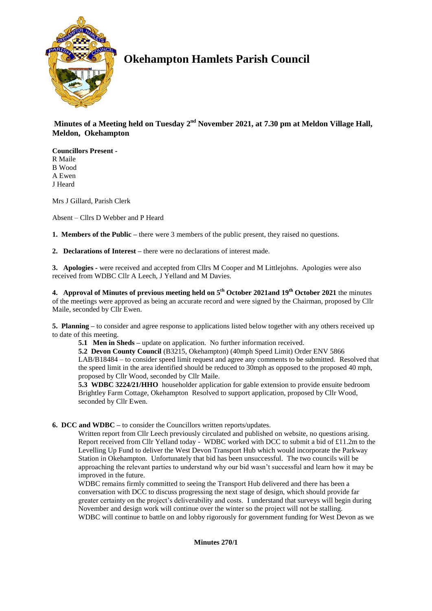

# **Okehampton Hamlets Parish Council**

Minutes of a Meeting held on Tuesday 2<sup>nd</sup> November 2021, at 7.30 pm at Meldon Village Hall, **Meldon, Okehampton**

**Councillors Present -** R Maile B Wood A Ewen J Heard

Mrs J Gillard, Parish Clerk

Absent – Cllrs D Webber and P Heard

**1. Members of the Public –** there were 3 members of the public present, they raised no questions.

**2. Declarations of Interest –** there were no declarations of interest made.

**3. Apologies -** were received and accepted from Cllrs M Cooper and M Littlejohns. Apologies were also received from WDBC Cllr A Leech, J Yelland and M Davies.

**4. Approval of Minutes of previous meeting held on 5 th October 2021and 19th October 2021** the minutes of the meetings were approved as being an accurate record and were signed by the Chairman, proposed by Cllr Maile, seconded by Cllr Ewen.

**5. Planning –** to consider and agree response to applications listed below together with any others received up to date of this meeting.

**5.1 Men in Sheds –** update on application. No further information received.

**5.2 Devon County Council** (B3215, Okehampton) (40mph Speed Limit) Order ENV 5866 LAB/B18484 – to consider speed limit request and agree any comments to be submitted. Resolved that the speed limit in the area identified should be reduced to 30mph as opposed to the proposed 40 mph, proposed by Cllr Wood, seconded by Cllr Maile.

**5.3 WDBC 3224/21/HHO** householder application for gable extension to provide ensuite bedroom Brightley Farm Cottage, Okehampton Resolved to support application, proposed by Cllr Wood, seconded by Cllr Ewen.

**6. DCC and WDBC –** to consider the Councillors written reports/updates.

Written report from Cllr Leech previously circulated and published on website, no questions arising. Report received from Cllr Yelland today - WDBC worked with DCC to submit a bid of £11.2m to the Levelling Up Fund to deliver the West Devon Transport Hub which would incorporate the Parkway Station in Okehampton. Unfortunately that bid has been unsuccessful. The two councils will be approaching the relevant parties to understand why our bid wasn't successful and learn how it may be improved in the future.

WDBC remains firmly committed to seeing the Transport Hub delivered and there has been a conversation with DCC to discuss progressing the next stage of design, which should provide far greater certainty on the project's deliverability and costs. I understand that surveys will begin during November and design work will continue over the winter so the project will not be stalling. WDBC will continue to battle on and lobby rigorously for government funding for West Devon as we

**Minutes 270/1**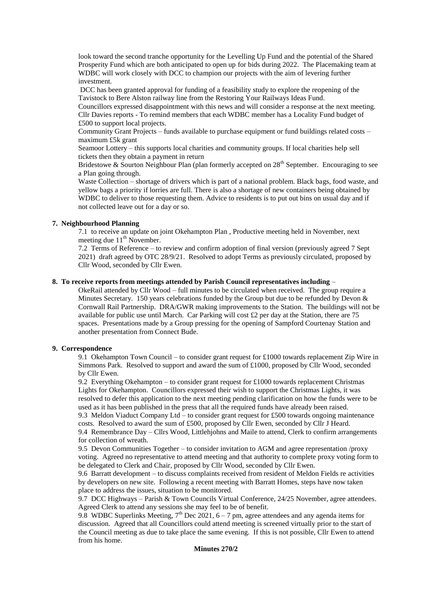look toward the second tranche opportunity for the Levelling Up Fund and the potential of the Shared Prosperity Fund which are both anticipated to open up for bids during 2022. The Placemaking team at WDBC will work closely with DCC to champion our projects with the aim of levering further investment.

DCC has been granted approval for funding of a feasibility study to explore the reopening of the Tavistock to Bere Alston railway line from the Restoring Your Railways Ideas Fund.

Councillors expressed disappointment with this news and will consider a response at the next meeting. Cllr Davies reports - To remind members that each WDBC member has a Locality Fund budget of £500 to support local projects.

Community Grant Projects – funds available to purchase equipment or fund buildings related costs – maximum £5k grant

Seamoor Lottery – this supports local charities and community groups. If local charities help sell tickets then they obtain a payment in return

Bridestowe  $\&$  Sourton Neighbour Plan (plan formerly accepted on  $28<sup>th</sup>$  September. Encouraging to see a Plan going through.

Waste Collection – shortage of drivers which is part of a national problem. Black bags, food waste, and yellow bags a priority if lorries are full. There is also a shortage of new containers being obtained by WDBC to deliver to those requesting them. Advice to residents is to put out bins on usual day and if not collected leave out for a day or so.

# **7. Neighbourhood Planning**

7.1 to receive an update on joint Okehampton Plan , Productive meeting held in November, next meeting due  $11^{th}$  November.

7.2 Terms of Reference – to review and confirm adoption of final version (previously agreed 7 Sept 2021) draft agreed by OTC 28/9/21. Resolved to adopt Terms as previously circulated, proposed by Cllr Wood, seconded by Cllr Ewen.

# **8. To receive reports from meetings attended by Parish Council representatives including** –

OkeRail attended by Cllr Wood – full minutes to be circulated when received. The group require a Minutes Secretary. 150 years celebrations funded by the Group but due to be refunded by Devon  $\&$ Cornwall Rail Partnership. DRA/GWR making improvements to the Station. The buildings will not be available for public use until March. Car Parking will cost £2 per day at the Station, there are 75 spaces. Presentations made by a Group pressing for the opening of Sampford Courtenay Station and another presentation from Connect Bude.

#### **9. Correspondence**

9.1 Okehampton Town Council – to consider grant request for £1000 towards replacement Zip Wire in Simmons Park. Resolved to support and award the sum of £1000, proposed by Cllr Wood, seconded by Cllr Ewen.

9.2 Everything Okehampton – to consider grant request for £1000 towards replacement Christmas Lights for Okehampton. Councillors expressed their wish to support the Christmas Lights, it was resolved to defer this application to the next meeting pending clarification on how the funds were to be used as it has been published in the press that all the required funds have already been raised. 9.3 Meldon Viaduct Company Ltd – to consider grant request for £500 towards ongoing maintenance costs. Resolved to award the sum of £500, proposed by Cllr Ewen, seconded by Cllr J Heard.

9.4 Remembrance Day – Cllrs Wood, Littlehjohns and Maile to attend, Clerk to confirm arrangements for collection of wreath.

9.5 Devon Communities Together – to consider invitation to AGM and agree representation /proxy voting. Agreed no representative to attend meeting and that authority to complete proxy voting form to be delegated to Clerk and Chair, proposed by Cllr Wood, seconded by Cllr Ewen.

9.6 Barratt development – to discuss complaints received from resident of Meldon Fields re activities by developers on new site. Following a recent meeting with Barratt Homes, steps have now taken place to address the issues, situation to be monitored.

9.7 DCC Highways – Parish & Town Councils Virtual Conference, 24/25 November, agree attendees. Agreed Clerk to attend any sessions she may feel to be of benefit.

9.8 WDBC Superlinks Meeting,  $7<sup>th</sup>$  Dec 2021, 6 – 7 pm, agree attendees and any agenda items for discussion. Agreed that all Councillors could attend meeting is screened virtually prior to the start of the Council meeting as due to take place the same evening. If this is not possible, Cllr Ewen to attend from his home.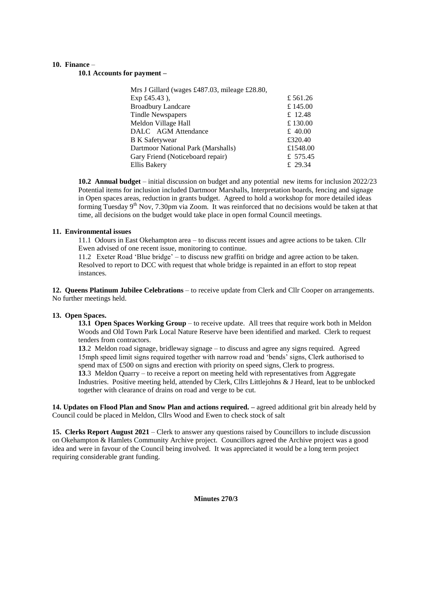#### **10. Finance** –

**10.1 Accounts for payment –**

| Mrs J Gillard (wages £487.03, mileage £28.80, |          |
|-----------------------------------------------|----------|
| Exp £45.43),                                  | £561.26  |
| <b>Broadbury Landcare</b>                     | £ 145.00 |
| <b>Tindle Newspapers</b>                      | £ 12.48  |
| Meldon Village Hall                           | £130.00  |
| DALC AGM Attendance                           | £ 40.00  |
| <b>B</b> K Safetywear                         | £320.40  |
| Dartmoor National Park (Marshalls)            | £1548.00 |
| Gary Friend (Noticeboard repair)              | £ 575.45 |
| Ellis Bakery                                  | £ 29.34  |

**10.2 Annual budget** – initial discussion on budget and any potential new items for inclusion 2022/23 Potential items for inclusion included Dartmoor Marshalls, Interpretation boards, fencing and signage in Open spaces areas, reduction in grants budget. Agreed to hold a workshop for more detailed ideas forming Tuesday 9<sup>th</sup> Nov, 7.30pm via Zoom. It was reinforced that no decisions would be taken at that time, all decisions on the budget would take place in open formal Council meetings.

#### **11. Environmental issues**

11.1 Odours in East Okehampton area – to discuss recent issues and agree actions to be taken. Cllr Ewen advised of one recent issue, monitoring to continue.

11.2 Exeter Road 'Blue bridge' – to discuss new graffiti on bridge and agree action to be taken. Resolved to report to DCC with request that whole bridge is repainted in an effort to stop repeat instances.

**12. Queens Platinum Jubilee Celebrations** – to receive update from Clerk and Cllr Cooper on arrangements. No further meetings held.

#### **13. Open Spaces.**

**13.1 Open Spaces Working Group** – to receive update. All trees that require work both in Meldon Woods and Old Town Park Local Nature Reserve have been identified and marked. Clerk to request tenders from contractors.

**13**.2 Meldon road signage, bridleway signage – to discuss and agree any signs required. Agreed 15mph speed limit signs required together with narrow road and 'bends' signs, Clerk authorised to spend max of £500 on signs and erection with priority on speed signs, Clerk to progress. **13**.3 Meldon Quarry – to receive a report on meeting held with representatives from Aggregate Industries. Positive meeting held, attended by Clerk, Cllrs Littlejohns & J Heard, leat to be unblocked together with clearance of drains on road and verge to be cut.

**14. Updates on Flood Plan and Snow Plan and actions required. –** agreed additional grit bin already held by Council could be placed in Meldon, Cllrs Wood and Ewen to check stock of salt

**15. Clerks Report August 2021** – Clerk to answer any questions raised by Councillors to include discussion on Okehampton & Hamlets Community Archive project. Councillors agreed the Archive project was a good idea and were in favour of the Council being involved. It was appreciated it would be a long term project requiring considerable grant funding.

**Minutes 270/3**